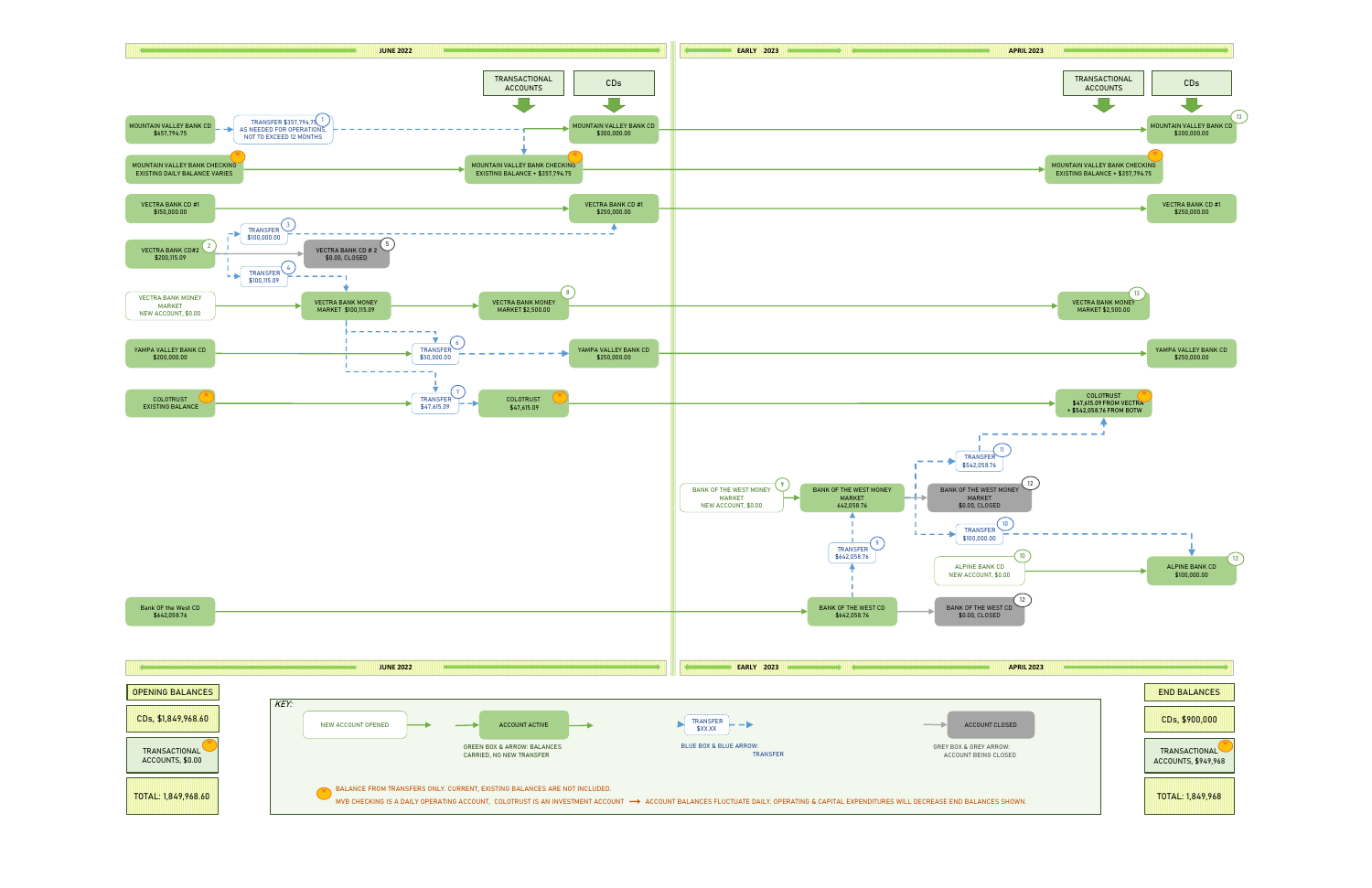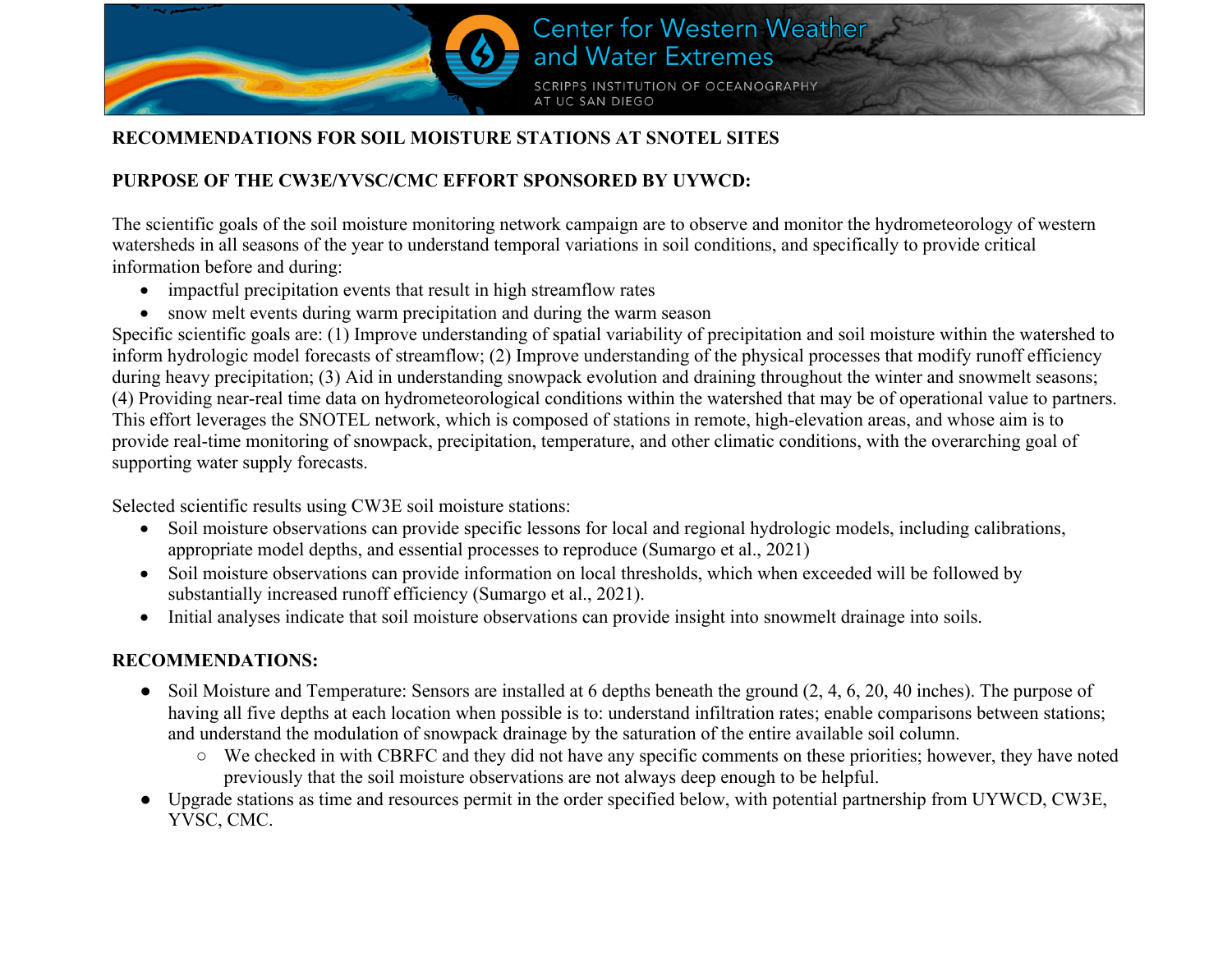

## **RECOMMENDATIONS FOR SOIL MOISTURE STATIONS AT SNOTEL SITES**

## **PURPOSE OF THE CW3E/YVSC/CMC EFFORT SPONSORED BY UYWCD:**

The scientific goals of the soil moisture monitoring network campaign are to observe and monitor the hydrometeorology of western watersheds in all seasons of the year to understand temporal variations in soil conditions, and specifically to provide critical information before and during:

- impactful precipitation events that result in high streamflow rates
- snow melt events during warm precipitation and during the warm season

Specific scientific goals are: (1) Improve understanding of spatial variability of precipitation and soil moisture within the watershed to inform hydrologic model forecasts of streamflow; (2) Improve understanding of the physical processes that modify runoff efficiency during heavy precipitation; (3) Aid in understanding snowpack evolution and draining throughout the winter and snowmelt seasons; (4) Providing near-real time data on hydrometeorological conditions within the watershed that may be of operational value to partners. This effort leverages the SNOTEL network, which is composed of stations in remote, high-elevation areas, and whose aim is to provide real-time monitoring of snowpack, precipitation, temperature, and other climatic conditions, with the overarching goal of supporting water supply forecasts.

Selected scientific results using CW3E soil moisture stations:

- Soil moisture observations can provide specific lessons for local and regional hydrologic models, including calibrations, appropriate model depths, and essential processes to reproduce (Sumargo et al., 2021)
- Soil moisture observations can provide information on local thresholds, which when exceeded will be followed by substantially increased runoff efficiency (Sumargo et al., 2021).
- Initial analyses indicate that soil moisture observations can provide insight into snowmelt drainage into soils.

## **RECOMMENDATIONS:**

- Soil Moisture and Temperature: Sensors are installed at 6 depths beneath the ground (2, 4, 6, 20, 40 inches). The purpose of having all five depths at each location when possible is to: understand infiltration rates; enable comparisons between stations; and understand the modulation of snowpack drainage by the saturation of the entire available soil column.
	- We checked in with CBRFC and they did not have any specific comments on these priorities; however, they have noted previously that the soil moisture observations are not always deep enough to be helpful.
- Upgrade stations as time and resources permit in the order specified below, with potential partnership from UYWCD, CW3E, YVSC, CMC.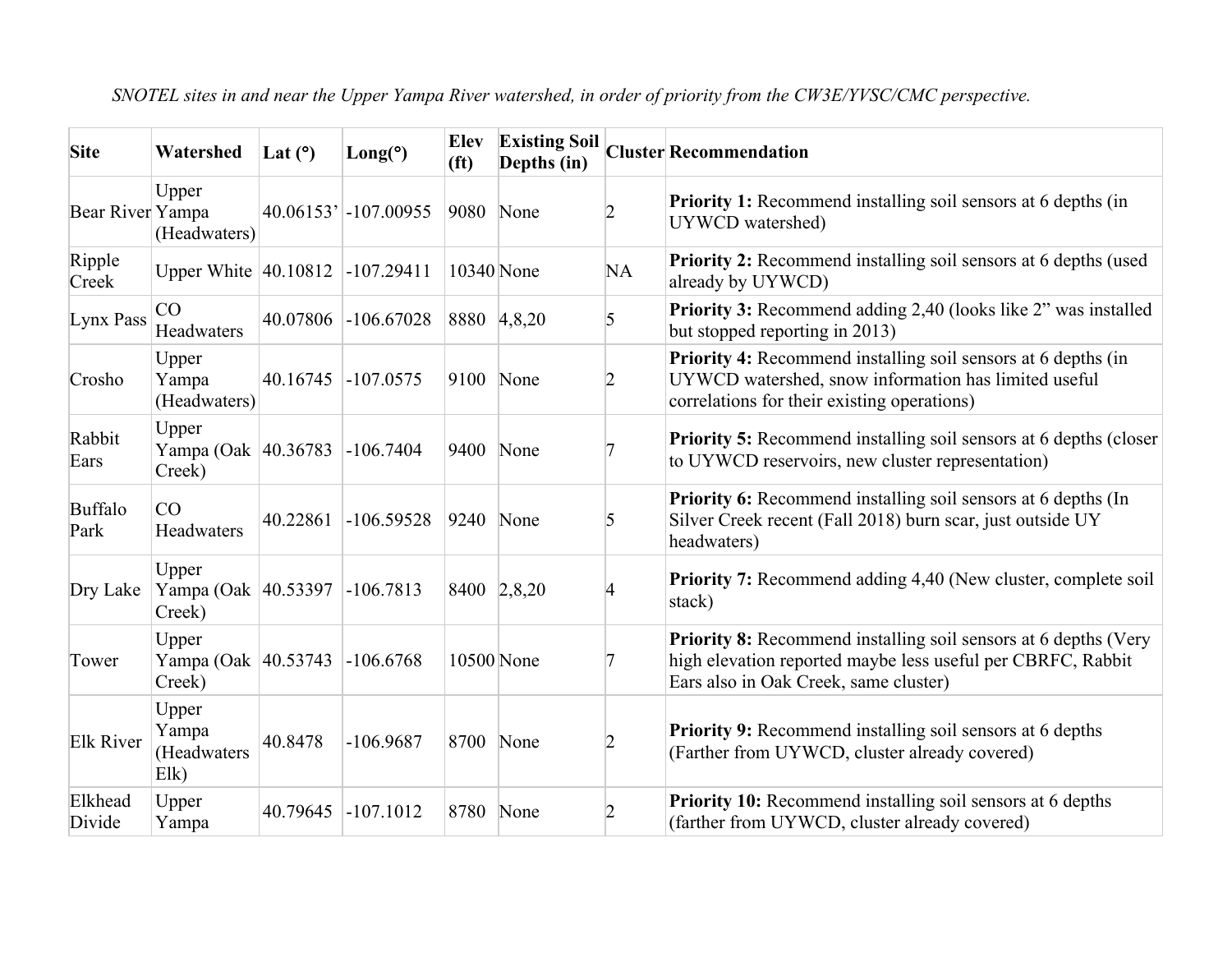| <b>Site</b>            | Watershed                                | Lat $(°)$ | Long(°)                 | <b>Elev</b><br>(f <sup>t</sup> ) | <b>Existing Soil</b><br>Depths (in) |           | <b>Cluster Recommendation</b>                                                                                                                                               |
|------------------------|------------------------------------------|-----------|-------------------------|----------------------------------|-------------------------------------|-----------|-----------------------------------------------------------------------------------------------------------------------------------------------------------------------------|
| Bear River Yampa       | Upper<br>(Headwaters)                    |           | $40.06153' - 107.00955$ | 9080                             | None                                |           | <b>Priority 1:</b> Recommend installing soil sensors at 6 depths (in<br>UYWCD watershed)                                                                                    |
| Ripple<br>Creek        | Upper White $ 40.10812\rangle$           |           | $-107.29411$            | 10340 None                       |                                     | <b>NA</b> | <b>Priority 2:</b> Recommend installing soil sensors at 6 depths (used<br>already by UYWCD)                                                                                 |
| Lynx Pass              | CO<br>Headwaters                         | 40.07806  | $-106.67028$            |                                  | 8880 4,8,20                         | 5         | Priority 3: Recommend adding 2,40 (looks like 2" was installed<br>but stopped reporting in 2013)                                                                            |
| Crosho                 | Upper<br>Yampa<br>(Headwaters)           | 40.16745  | $-107.0575$             | 9100                             | None                                | 2         | <b>Priority 4:</b> Recommend installing soil sensors at 6 depths (in<br>UYWCD watershed, snow information has limited useful<br>correlations for their existing operations) |
| Rabbit<br>Ears         | Upper<br>Yampa (Oak 40.36783<br>Creek)   |           | $-106.7404$             | 9400                             | None                                |           | Priority 5: Recommend installing soil sensors at 6 depths (closer<br>to UYWCD reservoirs, new cluster representation)                                                       |
| <b>Buffalo</b><br>Park | CO<br>Headwaters                         | 40.22861  | $-106.59528$            | 9240                             | None                                | 5         | <b>Priority 6:</b> Recommend installing soil sensors at 6 depths (In<br>Silver Creek recent (Fall 2018) burn scar, just outside UY<br>headwaters)                           |
| Dry Lake               | Upper<br>Yampa (Oak 40.53397<br>Creek)   |           | $-106.7813$             |                                  | 8400 2,8,20                         |           | <b>Priority 7:</b> Recommend adding 4,40 (New cluster, complete soil<br>stack)                                                                                              |
| Tower                  | Upper<br>Yampa (Oak   40.53743<br>Creek) |           | $-106.6768$             | 10500 None                       |                                     |           | Priority 8: Recommend installing soil sensors at 6 depths (Very<br>high elevation reported maybe less useful per CBRFC, Rabbit<br>Ears also in Oak Creek, same cluster)     |
| <b>Elk River</b>       | Upper<br>Yampa<br>(Headwaters<br>Elk     | 40.8478   | $-106.9687$             | 8700                             | None                                | 2         | <b>Priority 9:</b> Recommend installing soil sensors at 6 depths<br>(Farther from UYWCD, cluster already covered)                                                           |
| Elkhead<br>Divide      | Upper<br>Yampa                           | 40.79645  | $-107.1012$             | 8780                             | None                                | 2         | <b>Priority 10:</b> Recommend installing soil sensors at 6 depths<br>(farther from UYWCD, cluster already covered)                                                          |

*SNOTEL sites in and near the Upper Yampa River watershed, in order of priority from the CW3E/YVSC/CMC perspective.*